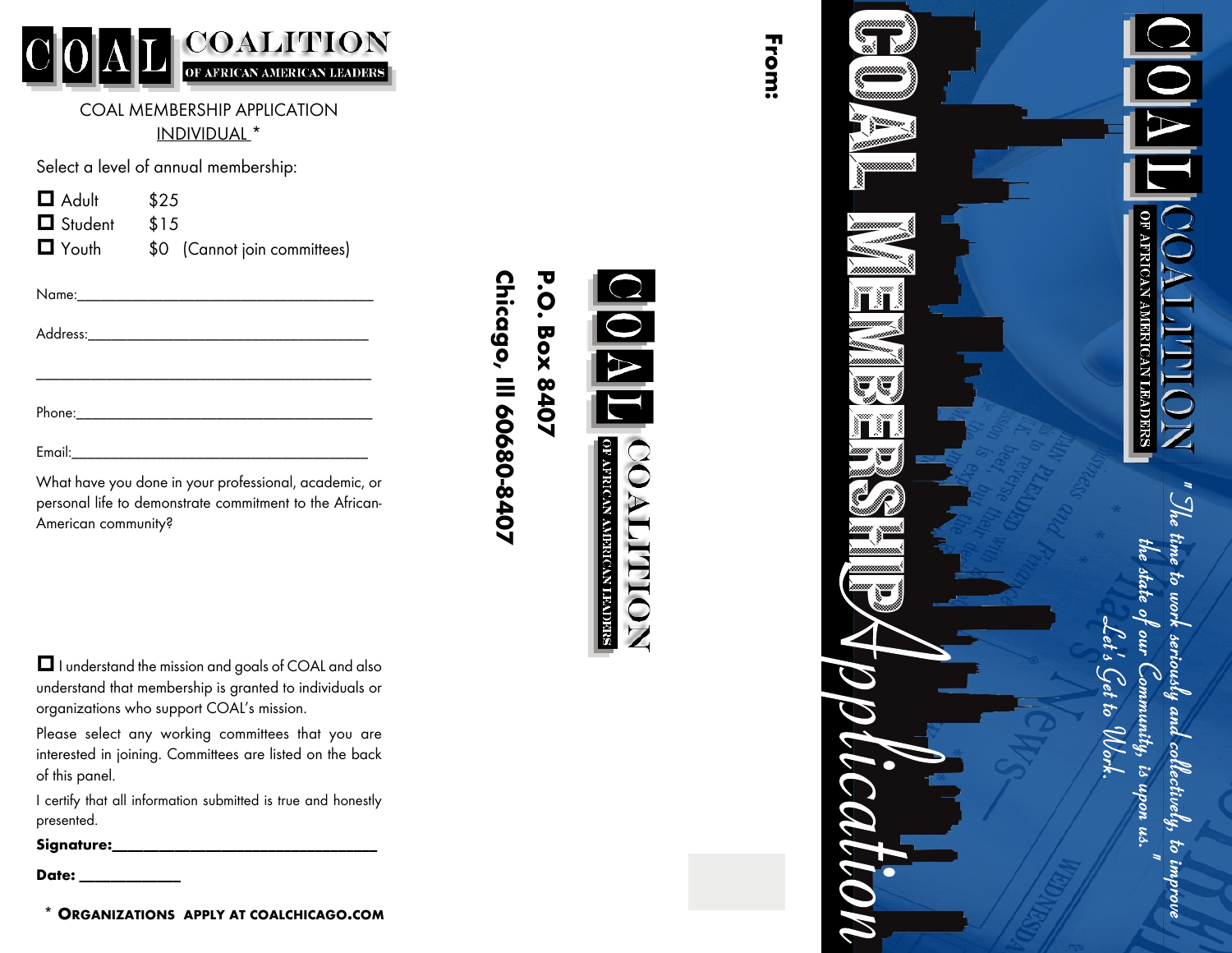

COAL MEMBERSHIP APPLICATION <u>INDIVIDUAL \*</u>

Select a level of annual membership:

| $\Box$ Adult   | \$25                         |  |
|----------------|------------------------------|--|
| $\Box$ Student | \$15                         |  |
| $\Box$ Youth   | \$0 (Cannot join committees) |  |

| What have you done in your professional, academic, or |  |
|-------------------------------------------------------|--|

personal life to demonstrate commitment to the African-American community?

 $\Box$  I understand the mission and goals of COAL and also understand that membership is granted to individuals or organizations who support COAL's mission.

Please select any working committees that you are interested in joining. Committees are listed on the back of this panel.

|            |  | I certify that all information submitted is true and honestly |  |  |  |
|------------|--|---------------------------------------------------------------|--|--|--|
| presented. |  |                                                               |  |  |  |

| Signature: |  |  |  |  |  |  |  |  |
|------------|--|--|--|--|--|--|--|--|
|            |  |  |  |  |  |  |  |  |
|            |  |  |  |  |  |  |  |  |

Date:

**\* ORGANIZATIONS APPLY AT COALCHICAGO .COM**

# **P.O.** Chicago, III 60680-8407 **Chicago, Ill 60680-8407 P.O. Box 8407 Box 8407**



**From:**



he state o

ity, is upon u.

ctively, to improve

 $\frac{1}{2}$